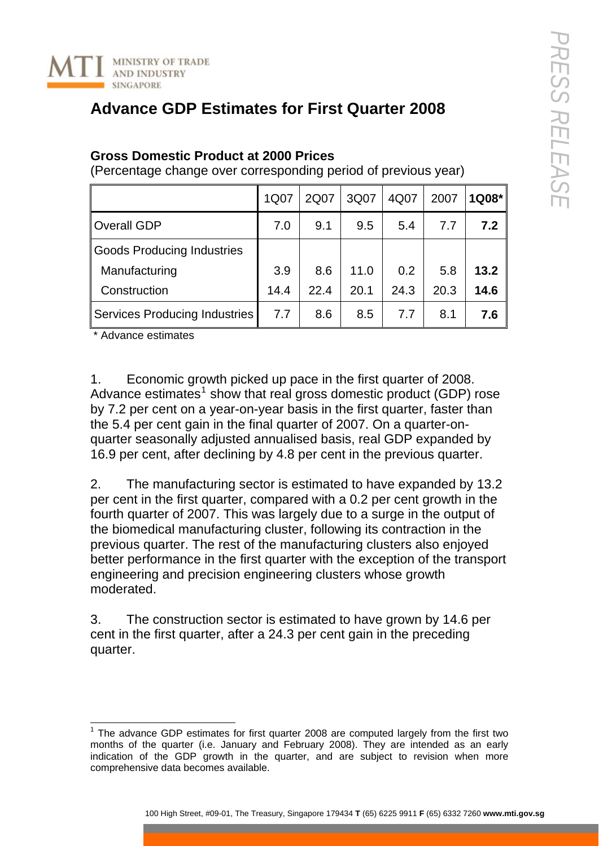

## **Advance GDP Estimates for First Quarter 2008**

## **Gross Domestic Product at 2000 Prices**

(Percentage change over corresponding period of previous year)

|                                      | 1Q07 | 2Q07 | 3Q07 | 4Q07 | 2007 | 1Q08* |
|--------------------------------------|------|------|------|------|------|-------|
| <b>Overall GDP</b>                   | 7.0  | 9.1  | 9.5  | 5.4  | 7.7  | 7.2   |
| <b>Goods Producing Industries</b>    |      |      |      |      |      |       |
| Manufacturing                        | 3.9  | 8.6  | 11.0 | 0.2  | 5.8  | 13.2  |
| Construction                         | 14.4 | 22.4 | 20.1 | 24.3 | 20.3 | 14.6  |
| <b>Services Producing Industries</b> | 7.7  | 8.6  | 8.5  | 7.7  | 8.1  | 7.6   |

\* Advance estimates

1. Economic growth picked up pace in the first quarter of 2008. Advance estimates<sup>[1](#page-0-0)</sup> show that real gross domestic product (GDP) rose by 7.2 per cent on a year-on-year basis in the first quarter, faster than the 5.4 per cent gain in the final quarter of 2007. On a quarter-onquarter seasonally adjusted annualised basis, real GDP expanded by 16.9 per cent, after declining by 4.8 per cent in the previous quarter.

2. The manufacturing sector is estimated to have expanded by 13.2 per cent in the first quarter, compared with a 0.2 per cent growth in the fourth quarter of 2007. This was largely due to a surge in the output of the biomedical manufacturing cluster, following its contraction in the previous quarter. The rest of the manufacturing clusters also enjoyed better performance in the first quarter with the exception of the transport engineering and precision engineering clusters whose growth moderated.

3. The construction sector is estimated to have grown by 14.6 per cent in the first quarter, after a 24.3 per cent gain in the preceding quarter.

<span id="page-0-0"></span>THE 2008 are manning to the advance CDP estimates for first quarter 2008 are computed largely from the first two months of the quarter (i.e. January and February 2008). They are intended as an early indication of the GDP growth in the quarter, and are subject to revision when more comprehensive data becomes available.